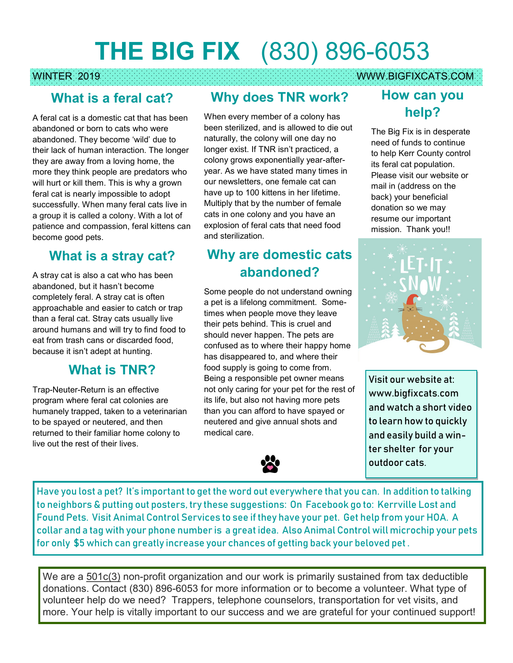# **THE BIG FIX** (830) 896-6053

#### WINTER 2019 WWW.BIGFIXCATS.COM

#### **What is a feral cat?**

A feral cat is a domestic cat that has been abandoned or born to cats who were abandoned. They become 'wild' due to their lack of human interaction. The longer they are away from a loving home, the more they think people are predators who will hurt or kill them. This is why a grown feral cat is nearly impossible to adopt successfully. When many feral cats live in a group it is called a colony. With a lot of patience and compassion, feral kittens can become good pets.

### **What is a stray cat?**

A stray cat is also a cat who has been abandoned, but it hasn't become completely feral. A stray cat is often approachable and easier to catch or trap than a feral cat. Stray cats usually live around humans and will try to find food to eat from trash cans or discarded food, because it isn't adept at hunting.

#### **What is TNR?**

Trap-Neuter-Return is an effective program where feral cat colonies are humanely trapped, taken to a veterinarian to be spayed or neutered, and then returned to their familiar home colony to live out the rest of their lives.

## **Why does TNR work?**

When every member of a colony has been sterilized, and is allowed to die out naturally, the colony will one day no longer exist. If TNR isn't practiced, a colony grows exponentially year-afteryear. As we have stated many times in our newsletters, one female cat can have up to 100 kittens in her lifetime. Multiply that by the number of female cats in one colony and you have an explosion of feral cats that need food and sterilization.

# **Why are domestic cats abandoned?**

Some people do not understand owning a pet is a lifelong commitment. Sometimes when people move they leave their pets behind. This is cruel and should never happen. The pets are confused as to where their happy home has disappeared to, and where their food supply is going to come from. Being a responsible pet owner means not only caring for your pet for the rest of its life, but also not having more pets than you can afford to have spayed or neutered and give annual shots and medical care.



#### **How can you help?**

The Big Fix is in desperate need of funds to continue to help Kerr County control its feral cat population. Please visit our website or mail in (address on the back) your beneficial donation so we may resume our important mission. Thank you!!



Visit our website at: www.bigfixcats.com and watch a short video to learn how to quickly and easily build a winter shelter for your outdoor cats.

Have you lost a pet? It's important to get the word out everywhere that you can. In addition to talking to neighbors & putting out posters, try these suggestions: On Facebook go to: Kerrville Lost and Found Pets. Visit Animal Control Services to see if they have your pet. Get help from your HOA. A collar and a tag with your phone number is a great idea. Also Animal Control will microchip your pets for only \$5 which can greatly increase your chances of getting back your beloved pet .

We are a 501c(3) non-profit organization and our work is primarily sustained from tax deductible donations. Contact (830) 896-6053 for more information or to become a volunteer. What type of volunteer help do we need? Trappers, telephone counselors, transportation for vet visits, and more. Your help is vitally important to our success and we are grateful for your continued support!